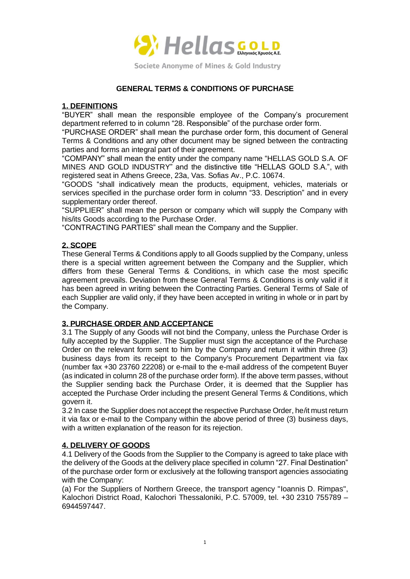

## **GENERAL TERMS & CONDITIONS OF PURCHASE**

#### **1. DEFINITIONS**

"BUYER" shall mean the responsible employee of the Company's procurement department referred to in column "28. Responsible" of the purchase order form.

"PURCHASE ORDER" shall mean the purchase order form, this document of General Terms & Conditions and any other document may be signed between the contracting parties and forms an integral part of their agreement.

"COMPANY" shall mean the entity under the company name "HELLAS GOLD S.A. OF MINES AND GOLD INDUSTRY" and the distinctive title "HELLAS GOLD S.A.", with registered seat in Athens Greece, 23a, Vas. Sofias Av., P.C. 10674.

"GOODS "shall indicatively mean the products, equipment, vehicles, materials or services specified in the purchase order form in column "33. Description" and in every supplementary order thereof.

"SUPPLIER" shall mean the person or company which will supply the Company with his/its Goods according to the Purchase Order.

"CONTRACTING PARTIES" shall mean the Company and the Supplier.

# **2. SCOPE**

These General Terms & Conditions apply to all Goods supplied by the Company, unless there is a special written agreement between the Company and the Supplier, which differs from these General Terms & Conditions, in which case the most specific agreement prevails. Deviation from these General Terms & Conditions is only valid if it has been agreed in writing between the Contracting Parties. General Terms of Sale of each Supplier are valid only, if they have been accepted in writing in whole or in part by the Company.

## **3. PURCHASE ORDER AND ACCEPTANCE**

3.1 The Supply of any Goods will not bind the Company, unless the Purchase Order is fully accepted by the Supplier. The Supplier must sign the acceptance of the Purchase Order on the relevant form sent to him by the Company and return it within three (3) business days from its receipt to the Company's Procurement Department via fax (number fax +30 23760 22208) or e-mail to the e-mail address of the competent Buyer (as indicated in column 28 of the purchase order form). If the above term passes, without the Supplier sending back the Purchase Order, it is deemed that the Supplier has accepted the Purchase Order including the present General Terms & Conditions, which govern it.

3.2 In case the Supplier does not accept the respective Purchase Order, he/it must return it via fax or e-mail to the Company within the above period of three (3) business days, with a written explanation of the reason for its rejection.

## **4. DELIVERY OF GOODS**

4.1 Delivery of the Goods from the Supplier to the Company is agreed to take place with the delivery of the Goods at the delivery place specified in column "27. Final Destination" of the purchase order form or exclusively at the following transport agencies associating with the Company:

(a) For the Suppliers of Northern Greece, the transport agency "Ioannis D. Rimpas", Kalochori District Road, Kalochori Thessaloniki, P.C. 57009, tel. +30 2310 755789 – 6944597447.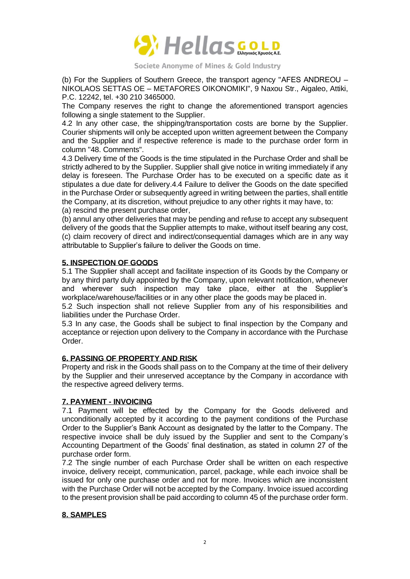

(b) For the Suppliers of Southern Greece, the transport agency "ΑFES ANDREOU – NIKOLAOS SETTAS OE – METAFORES OIKONOMIKI", 9 Naxou Str., Aigaleo, Attiki, P.C. 12242, tel. +30 210 3465000.

The Company reserves the right to change the aforementioned transport agencies following a single statement to the Supplier.

4.2 In any other case, the shipping/transportation costs are borne by the Supplier. Courier shipments will only be accepted upon written agreement between the Company and the Supplier and if respective reference is made to the purchase order form in column "48. Comments".

4.3 Delivery time of the Goods is the time stipulated in the Purchase Order and shall be strictly adhered to by the Supplier. Supplier shall give notice in writing immediately if any delay is foreseen. The Purchase Order has to be executed on a specific date as it stipulates a due date for delivery.4.4 Failure to deliver the Goods on the date specified in the Purchase Order or subsequently agreed in writing between the parties, shall entitle the Company, at its discretion, without prejudice to any other rights it may have, to:

(a) rescind the present purchase order,

(b) annul any other deliveries that may be pending and refuse to accept any subsequent delivery of the goods that the Supplier attempts to make, without itself bearing any cost, (c) claim recovery of direct and indirect/consequential damages which are in any way attributable to Supplier's failure to deliver the Goods on time.

#### **5. INSPECTION OF GOODS**

5.1 The Supplier shall accept and facilitate inspection of its Goods by the Company or by any third party duly appointed by the Company, upon relevant notification, whenever and wherever such inspection may take place, either at the Supplier's workplace/warehouse/facilities or in any other place the goods may be placed in.

5.2 Such inspection shall not relieve Supplier from any of his responsibilities and liabilities under the Purchase Order.

5.3 In any case, the Goods shall be subject to final inspection by the Company and acceptance or rejection upon delivery to the Company in accordance with the Purchase Order.

## **6. PASSING OF PROPERTY AND RISK**

Property and risk in the Goods shall pass on to the Company at the time of their delivery by the Supplier and their unreserved acceptance by the Company in accordance with the respective agreed delivery terms.

## **7. PAYMENT - INVOICING**

7.1 Payment will be effected by the Company for the Goods delivered and unconditionally accepted by it according to the payment conditions of the Purchase Order to the Supplier's Bank Account as designated by the latter to the Company. The respective invoice shall be duly issued by the Supplier and sent to the Company's Accounting Department of the Goods' final destination, as stated in column 27 of the purchase order form.

7.2 The single number of each Purchase Order shall be written on each respective invoice, delivery receipt, communication, parcel, package, while each invoice shall be issued for only one purchase order and not for more. Invoices which are inconsistent with the Purchase Order will not be accepted by the Company. Invoice issued according to the present provision shall be paid according to column 45 of the purchase order form.

#### **8. SAMPLES**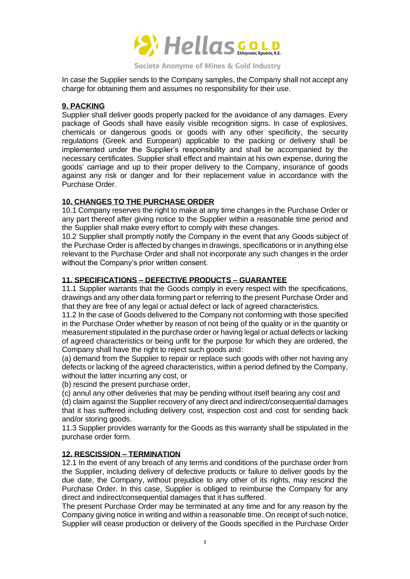

In case the Supplier sends to the Company samples, the Company shall not accept any charge for obtaining them and assumes no responsibility for their use.

#### **9. PACKING**

Supplier shall deliver goods properly packed for the avoidance of any damages. Every package of Goods shall have easily visible recognition signs. In case of explosives, chemicals or dangerous goods or goods with any other specificity, the security regulations (Greek and European) applicable to the packing or delivery shall be implemented under the Supplier's responsibility and shall be accompanied by the necessary certificates. Supplier shall effect and maintain at his own expense, during the goods' carriage and up to their proper delivery to the Company, insurance of goods against any risk or danger and for their replacement value in accordance with the Purchase Order.

## **10. CHANGES TO THE PURCHASE ORDER**

10.1 Company reserves the right to make at any time changes in the Purchase Order or any part thereof after giving notice to the Supplier within a reasonable time period and the Supplier shall make every effort to comply with these changes.

10.2 Supplier shall promptly notify the Company in the event that any Goods subject of the Purchase Order is affected by changes in drawings, specifications or in anything else relevant to the Purchase Order and shall not incorporate any such changes in the order without the Company's prior written consent.

## **11. SPECIFICATIONS – DEFECTIVE PRODUCTS – GUARANTEE**

11.1 Supplier warrants that the Goods comply in every respect with the specifications, drawings and any other data forming part or referring to the present Purchase Order and that they are free of any legal or actual defect or lack of agreed characteristics.

11.2 In the case of Goods delivered to the Company not conforming with those specified in the Purchase Order whether by reason of not being of the quality or in the quantity or measurement stipulated in the purchase order or having legal or actual defects or lacking of agreed characteristics or being unfit for the purpose for which they are ordered, the Company shall have the right to reject such goods and:

(a) demand from the Supplier to repair or replace such goods with other not having any defects or lacking of the agreed characteristics, within a period defined by the Company, without the latter incurring any cost, or

(b) rescind the present purchase order,

(c) annul any other deliveries that may be pending without itself bearing any cost and

(d) claim against the Supplier recovery of any direct and indirect/consequential damages that it has suffered including delivery cost, inspection cost and cost for sending back and/or storing goods.

11.3 Supplier provides warranty for the Goods as this warranty shall be stipulated in the purchase order form.

## **12. RESCISSION – TERMINATION**

12.1 In the event of any breach of any terms and conditions of the purchase order from the Supplier, including delivery of defective products or failure to deliver goods by the due date, the Company, without prejudice to any other of its rights, may rescind the Purchase Order. In this case, Supplier is obliged to reimburse the Company for any direct and indirect/consequential damages that it has suffered.

The present Purchase Order may be terminated at any time and for any reason by the Company giving notice in writing and within a reasonable time. On receipt of such notice, Supplier will cease production or delivery of the Goods specified in the Purchase Order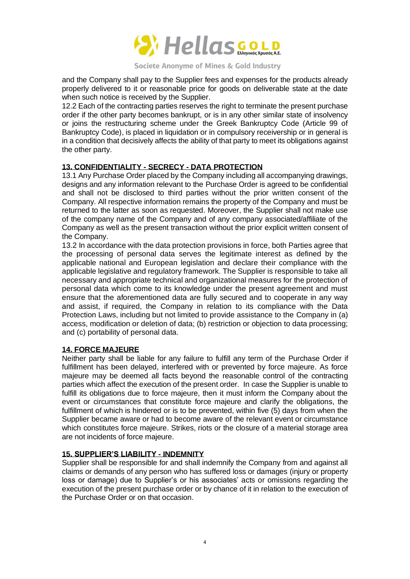

and the Company shall pay to the Supplier fees and expenses for the products already properly delivered to it or reasonable price for goods on deliverable state at the date when such notice is received by the Supplier.

12.2 Each of the contracting parties reserves the right to terminate the present purchase order if the other party becomes bankrupt, or is in any other similar state of insolvency or joins the restructuring scheme under the Greek Bankruptcy Code (Article 99 of Bankruptcy Code), is placed in liquidation or in compulsory receivership or in general is in a condition that decisively affects the ability of that party to meet its obligations against the other party.

# **13. CONFIDENTIALITY - SECRECY - DATA PROTECTION**

13.1 Any Purchase Order placed by the Company including all accompanying drawings, designs and any information relevant to the Purchase Order is agreed to be confidential and shall not be disclosed to third parties without the prior written consent of the Company. All respective information remains the property of the Company and must be returned to the latter as soon as requested. Moreover, the Supplier shall not make use of the company name of the Company and of any company associated/affiliate of the Company as well as the present transaction without the prior explicit written consent of the Company.

13.2 In accordance with the data protection provisions in force, both Parties agree that the processing of personal data serves the legitimate interest as defined by the applicable national and European legislation and declare their compliance with the applicable legislative and regulatory framework. The Supplier is responsible to take all necessary and appropriate technical and organizational measures for the protection of personal data which come to its knowledge under the present agreement and must ensure that the aforementioned data are fully secured and to cooperate in any way and assist, if required, the Company in relation to its compliance with the Data Protection Laws, including but not limited to provide assistance to the Company in (a) access, modification or deletion of data; (b) restriction or objection to data processing; and (c) portability of personal data.

## **14. FORCE MAJEURE**

Neither party shall be liable for any failure to fulfill any term of the Purchase Order if fulfillment has been delayed, interfered with or prevented by force majeure. As force majeure may be deemed all facts beyond the reasonable control of the contracting parties which affect the execution of the present order. In case the Supplier is unable to fulfill its obligations due to force majeure, then it must inform the Company about the event or circumstances that constitute force majeure and clarify the obligations, the fulfillment of which is hindered or is to be prevented, within five (5) days from when the Supplier became aware or had to become aware of the relevant event or circumstance which constitutes force majeure. Strikes, riots or the closure of a material storage area are not incidents of force majeure.

## **15. SUPPLIER'S LIABILITY - INDEMNITY**

Supplier shall be responsible for and shall indemnify the Company from and against all claims or demands of any person who has suffered loss or damages (injury or property loss or damage) due to Supplier's or his associates' acts or omissions regarding the execution of the present purchase order or by chance of it in relation to the execution of the Purchase Order or on that occasion.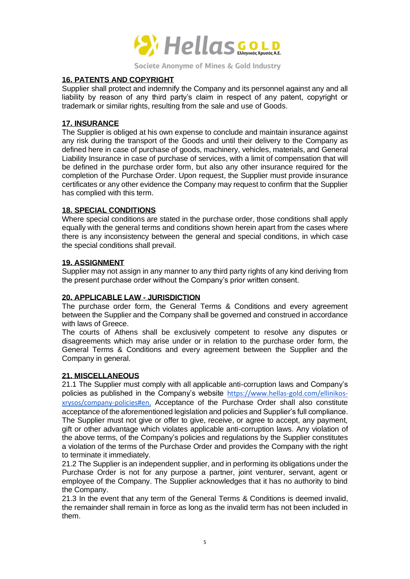

#### **16. PATENTS AND COPYRIGHT**

Supplier shall protect and indemnify the Company and its personnel against any and all liability by reason of any third party's claim in respect of any patent, copyright or trademark or similar rights, resulting from the sale and use of Goods.

## **17. INSURANCE**

The Supplier is obliged at his own expense to conclude and maintain insurance against any risk during the transport of the Goods and until their delivery to the Company as defined here in case of purchase of goods, machinery, vehicles, materials, and General Liability Insurance in case of purchase of services, with a limit of compensation that will be defined in the purchase order form, but also any other insurance required for the completion of the Purchase Order. Upon request, the Supplier must provide insurance certificates or any other evidence the Company may request to confirm that the Supplier has complied with this term.

#### **18. SPECIAL CONDITIONS**

Where special conditions are stated in the purchase order, those conditions shall apply equally with the general terms and conditions shown herein apart from the cases where there is any inconsistency between the general and special conditions, in which case the special conditions shall prevail.

#### **19. ASSIGNMENT**

Supplier may not assign in any manner to any third party rights of any kind deriving from the present purchase order without the Company's prior written consent.

## **20. APPLICABLE LAW - JURISDICTION**

The purchase order form, the General Terms & Conditions and every agreement between the Supplier and the Company shall be governed and construed in accordance with laws of Greece.

The courts of Athens shall be exclusively competent to resolve any disputes or disagreements which may arise under or in relation to the purchase order form, the General Terms & Conditions and every agreement between the Supplier and the Company in general.

#### **21. MISCELLANEOUS**

21.1 The Supplier must comply with all applicable anti-corruption laws and Company's policies as published in the Company's website [https://www.hellas-gold.com/ellinikos](https://www.hellas-gold.com/ellinikos-xrysos/company-policies#en)[xrysos/company-policies#en.](https://www.hellas-gold.com/ellinikos-xrysos/company-policies#en) Acceptance of the Purchase Order shall also constitute acceptance of the aforementioned legislation and policies and Supplier's full compliance. The Supplier must not give or offer to give, receive, or agree to accept, any payment, gift or other advantage which violates applicable anti-corruption laws. Any violation of the above terms, of the Company's policies and regulations by the Supplier constitutes a violation of the terms of the Purchase Order and provides the Company with the right to terminate it immediately.

21.2 The Supplier is an independent supplier, and in performing its obligations under the Purchase Order is not for any purpose a partner, joint venturer, servant, agent or employee of the Company. The Supplier acknowledges that it has no authority to bind the Company.

21.3 In the event that any term of the General Terms & Conditions is deemed invalid, the remainder shall remain in force as long as the invalid term has not been included in them.